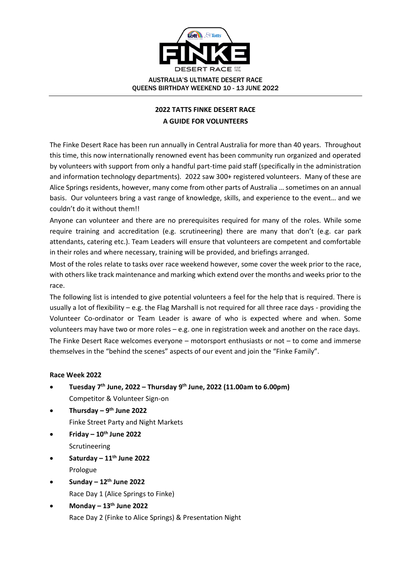

# **2022 TATTS FINKE DESERT RACE A GUIDE FOR VOLUNTEERS**

The Finke Desert Race has been run annually in Central Australia for more than 40 years. Throughout this time, this now internationally renowned event has been community run organized and operated by volunteers with support from only a handful part-time paid staff (specifically in the administration and information technology departments). 2022 saw 300+ registered volunteers. Many of these are Alice Springs residents, however, many come from other parts of Australia … sometimes on an annual basis. Our volunteers bring a vast range of knowledge, skills, and experience to the event… and we couldn't do it without them!!

Anyone can volunteer and there are no prerequisites required for many of the roles. While some require training and accreditation (e.g. scrutineering) there are many that don't (e.g. car park attendants, catering etc.). Team Leaders will ensure that volunteers are competent and comfortable in their roles and where necessary, training will be provided, and briefings arranged.

Most of the roles relate to tasks over race weekend however, some cover the week prior to the race, with others like track maintenance and marking which extend over the months and weeks prior to the race.

The following list is intended to give potential volunteers a feel for the help that is required. There is usually a lot of flexibility – e.g. the Flag Marshall is not required for all three race days - providing the Volunteer Co-ordinator or Team Leader is aware of who is expected where and when. Some volunteers may have two or more roles – e.g. one in registration week and another on the race days. The Finke Desert Race welcomes everyone – motorsport enthusiasts or not – to come and immerse themselves in the "behind the scenes" aspects of our event and join the "Finke Family".

# **Race Week 2022**

- **Tuesday 7 th June, 2022 – Thursday 9 th June, 2022 (11.00am to 6.00pm)** Competitor & Volunteer Sign-on
- **Thursday – 9 th June 2022** Finke Street Party and Night Markets
- **Friday – 10 th June 2022** Scrutineering
- **Saturday – 11 th June 2022** Prologue
- **Sunday – 12 th June 2022** Race Day 1 (Alice Springs to Finke)
- **Monday – 13 th June 2022** Race Day 2 (Finke to Alice Springs) & Presentation Night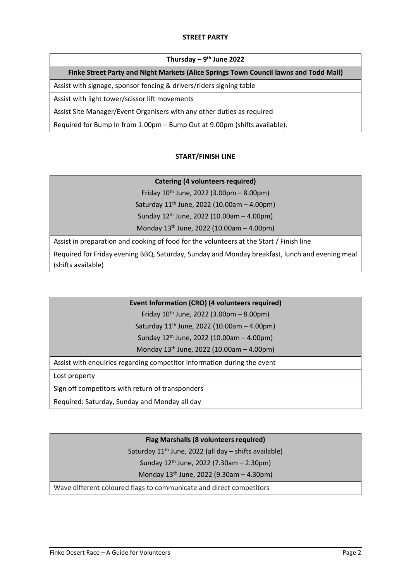### **STREET PARTY**

#### **Thursday – 9 th June 2022**

#### **Finke Street Party and Night Markets (Alice Springs Town Council lawns and Todd Mall)**

Assist with signage, sponsor fencing & drivers/riders signing table

Assist with light tower/scissor lift movements

Assist Site Manager/Event Organisers with any other duties as required

Required for Bump In from 1.00pm – Bump Out at 9.00pm (shifts available).

#### **START/FINISH LINE**

## **Catering (4 volunteers required)**

Friday  $10^{th}$  June, 2022 (3.00pm – 8.00pm)

Saturday  $11^{th}$  June, 2022 (10.00am - 4.00pm)

Sunday 12th June, 2022 (10.00am – 4.00pm)

Monday 13th June, 2022 (10.00am – 4.00pm)

Assist in preparation and cooking of food for the volunteers at the Start / Finish line

Required for Friday evening BBQ, Saturday, Sunday and Monday breakfast, lunch and evening meal (shifts available)

#### **Event Information (CRO) (4 volunteers required)**

Friday  $10^{th}$  June, 2022 (3.00pm – 8.00pm)

Saturday  $11^{th}$  June, 2022 (10.00am - 4.00pm)

Sunday 12th June, 2022 (10.00am – 4.00pm)

Monday 13th June, 2022 (10.00am – 4.00pm)

Assist with enquiries regarding competitor information during the event

Lost property

Sign off competitors with return of transponders

Required: Saturday, Sunday and Monday all day

# **Flag Marshalls (8 volunteers required)**

Saturday 11<sup>th</sup> June, 2022 (all day - shifts available)

Sunday 12th June, 2022 (7.30am – 2.30pm)

Monday 13th June, 2022 (9.30am – 4.30pm)

Wave different coloured flags to communicate and direct competitors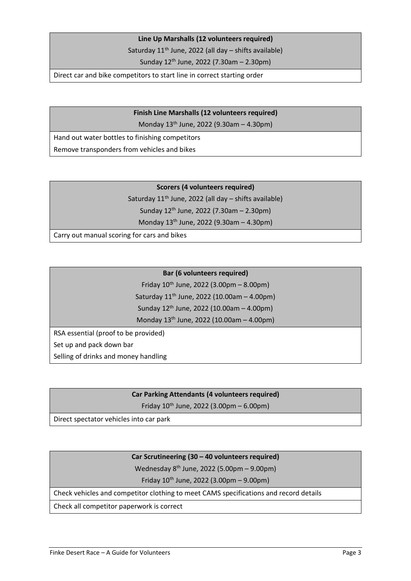#### **Line Up Marshalls (12 volunteers required)**

Saturday  $11<sup>th</sup>$  June, 2022 (all day – shifts available)

Sunday 12th June, 2022 (7.30am – 2.30pm)

Direct car and bike competitors to start line in correct starting order

# **Finish Line Marshalls (12 volunteers required)**

Monday 13th June, 2022 (9.30am – 4.30pm)

Hand out water bottles to finishing competitors

Remove transponders from vehicles and bikes

## **Scorers (4 volunteers required)**

Saturday  $11<sup>th</sup>$  June, 2022 (all day – shifts available) Sunday 12th June, 2022 (7.30am – 2.30pm)

Monday 13th June, 2022 (9.30am – 4.30pm)

Carry out manual scoring for cars and bikes

## **Bar (6 volunteers required)**

Friday  $10^{th}$  June, 2022 (3.00pm – 8.00pm) Saturday 11th June, 2022 (10.00am – 4.00pm) Sunday 12th June, 2022 (10.00am – 4.00pm)

Monday 13th June, 2022 (10.00am – 4.00pm)

RSA essential (proof to be provided) Set up and pack down bar Selling of drinks and money handling

# **Car Parking Attendants (4 volunteers required)**

Friday  $10^{th}$  June, 2022 (3.00pm – 6.00pm)

Direct spectator vehicles into car park

# **Car Scrutineering (30 – 40 volunteers required)**

Wednesday 8th June, 2022 (5.00pm – 9.00pm)

Friday  $10^{th}$  June, 2022 (3.00pm – 9.00pm)

Check vehicles and competitor clothing to meet CAMS specifications and record details

Check all competitor paperwork is correct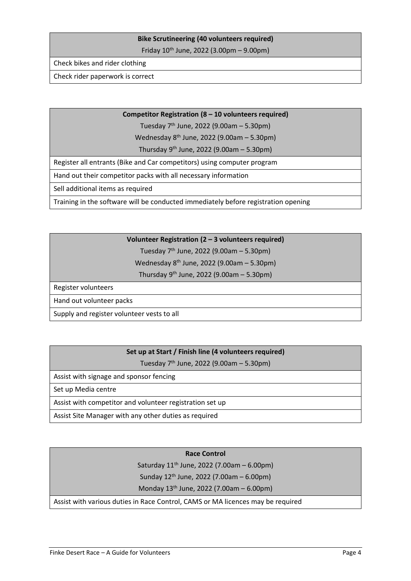## **Bike Scrutineering (40 volunteers required)**

Friday 10th June, 2022 (3.00pm – 9.00pm)

Check bikes and rider clothing

Check rider paperwork is correct

#### **Competitor Registration (8 – 10 volunteers required)**

Tuesday  $7<sup>th</sup>$  June, 2022 (9.00am – 5.30pm)

Wednesday 8th June, 2022 (9.00am – 5.30pm)

Thursday  $9<sup>th</sup>$  June, 2022 (9.00am – 5.30pm)

Register all entrants (Bike and Car competitors) using computer program

Hand out their competitor packs with all necessary information

Sell additional items as required

Training in the software will be conducted immediately before registration opening

# **Volunteer Registration (2 – 3 volunteers required)**

Tuesday  $7<sup>th</sup>$  June, 2022 (9.00am – 5.30pm)

Wednesday 8th June, 2022 (9.00am – 5.30pm)

Thursday  $9<sup>th</sup>$  June, 2022 (9.00am – 5.30pm)

Register volunteers

Hand out volunteer packs

Supply and register volunteer vests to all

# **Set up at Start / Finish line (4 volunteers required)**

Tuesday 7th June, 2022 (9.00am – 5.30pm)

Assist with signage and sponsor fencing

Set up Media centre

Assist with competitor and volunteer registration set up

Assist Site Manager with any other duties as required

#### **Race Control**

Saturday  $11^{th}$  June, 2022 (7.00am – 6.00pm)

Sunday 12th June, 2022 (7.00am – 6.00pm)

Monday 13th June, 2022 (7.00am – 6.00pm)

Assist with various duties in Race Control, CAMS or MA licences may be required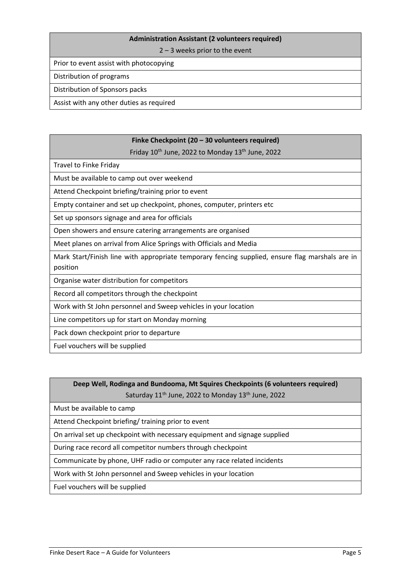#### **Administration Assistant (2 volunteers required)**

2 – 3 weeks prior to the event

Prior to event assist with photocopying

Distribution of programs

Distribution of Sponsors packs

Assist with any other duties as required

# **Finke Checkpoint (20 – 30 volunteers required)**

Friday 10<sup>th</sup> June, 2022 to Monday 13<sup>th</sup> June, 2022

Travel to Finke Friday

Must be available to camp out over weekend

Attend Checkpoint briefing/training prior to event

Empty container and set up checkpoint, phones, computer, printers etc

Set up sponsors signage and area for officials

Open showers and ensure catering arrangements are organised

Meet planes on arrival from Alice Springs with Officials and Media

Mark Start/Finish line with appropriate temporary fencing supplied, ensure flag marshals are in position

Organise water distribution for competitors

Record all competitors through the checkpoint

Work with St John personnel and Sweep vehicles in your location

Line competitors up for start on Monday morning

Pack down checkpoint prior to departure

Fuel vouchers will be supplied

# **Deep Well, Rodinga and Bundooma, Mt Squires Checkpoints (6 volunteers required)** Saturday 11<sup>th</sup> June, 2022 to Monday 13<sup>th</sup> June, 2022

Must be available to camp

Attend Checkpoint briefing/ training prior to event

On arrival set up checkpoint with necessary equipment and signage supplied

During race record all competitor numbers through checkpoint

Communicate by phone, UHF radio or computer any race related incidents

Work with St John personnel and Sweep vehicles in your location

Fuel vouchers will be supplied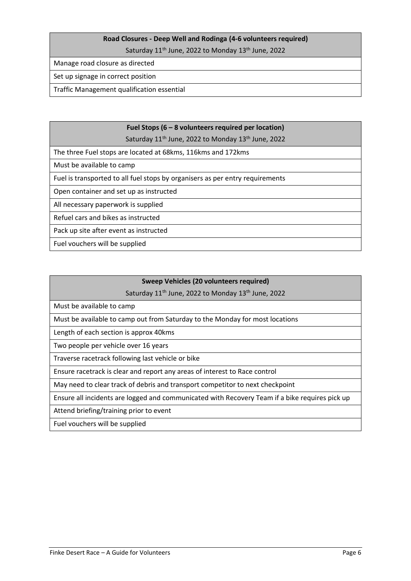# **Road Closures - Deep Well and Rodinga (4-6 volunteers required)**

Saturday 11<sup>th</sup> June, 2022 to Monday 13<sup>th</sup> June, 2022

Manage road closure as directed

## Set up signage in correct position

Traffic Management qualification essential

# **Fuel Stops (6 – 8 volunteers required per location)**

Saturday 11<sup>th</sup> June, 2022 to Monday 13<sup>th</sup> June, 2022

The three Fuel stops are located at 68kms, 116kms and 172kms

Must be available to camp

Fuel is transported to all fuel stops by organisers as per entry requirements

Open container and set up as instructed

All necessary paperwork is supplied

Refuel cars and bikes as instructed

Pack up site after event as instructed

Fuel vouchers will be supplied

# **Sweep Vehicles (20 volunteers required)**

Saturday 11<sup>th</sup> June, 2022 to Monday 13<sup>th</sup> June, 2022

Must be available to camp

Must be available to camp out from Saturday to the Monday for most locations

Length of each section is approx 40kms

Two people per vehicle over 16 years

Traverse racetrack following last vehicle or bike

Ensure racetrack is clear and report any areas of interest to Race control

May need to clear track of debris and transport competitor to next checkpoint

Ensure all incidents are logged and communicated with Recovery Team if a bike requires pick up

Attend briefing/training prior to event

Fuel vouchers will be supplied